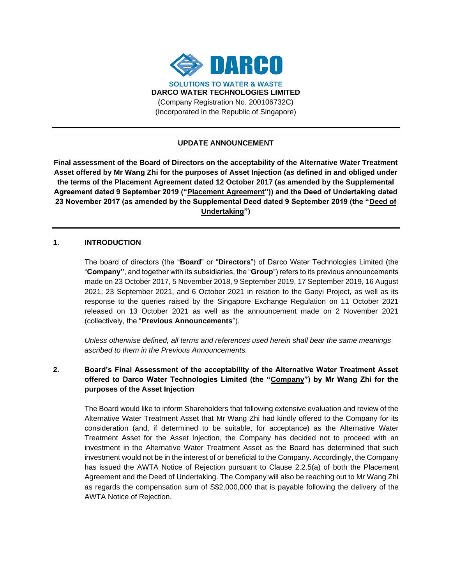

### **UPDATE ANNOUNCEMENT**

**Final assessment of the Board of Directors on the acceptability of the Alternative Water Treatment Asset offered by Mr Wang Zhi for the purposes of Asset Injection (as defined in and obliged under the terms of the Placement Agreement dated 12 October 2017 (as amended by the Supplemental Agreement dated 9 September 2019 ("Placement Agreement")) and the Deed of Undertaking dated 23 November 2017 (as amended by the Supplemental Deed dated 9 September 2019 (the "Deed of Undertaking")** 

#### **1. INTRODUCTION**

The board of directors (the "**Board**" or "**Directors**") of Darco Water Technologies Limited (the "**Company"**, and together with its subsidiaries, the "**Group**") refers to its previous announcements made on 23 October 2017, 5 November 2018, 9 September 2019, 17 September 2019, 16 August 2021, 23 September 2021, and 6 October 2021 in relation to the Gaoyi Project, as well as its response to the queries raised by the Singapore Exchange Regulation on 11 October 2021 released on 13 October 2021 as well as the announcement made on 2 November 2021 (collectively, the "**Previous Announcements**").

*Unless otherwise defined, all terms and references used herein shall bear the same meanings ascribed to them in the Previous Announcements.*

# **2. Board's Final Assessment of the acceptability of the Alternative Water Treatment Asset offered to Darco Water Technologies Limited (the "Company") by Mr Wang Zhi for the purposes of the Asset Injection**

The Board would like to inform Shareholders that following extensive evaluation and review of the Alternative Water Treatment Asset that Mr Wang Zhi had kindly offered to the Company for its consideration (and, if determined to be suitable, for acceptance) as the Alternative Water Treatment Asset for the Asset Injection, the Company has decided not to proceed with an investment in the Alternative Water Treatment Asset as the Board has determined that such investment would not be in the interest of or beneficial to the Company. Accordingly, the Company has issued the AWTA Notice of Rejection pursuant to Clause 2.2.5(a) of both the Placement Agreement and the Deed of Undertaking. The Company will also be reaching out to Mr Wang Zhi as regards the compensation sum of S\$2,000,000 that is payable following the delivery of the AWTA Notice of Rejection.